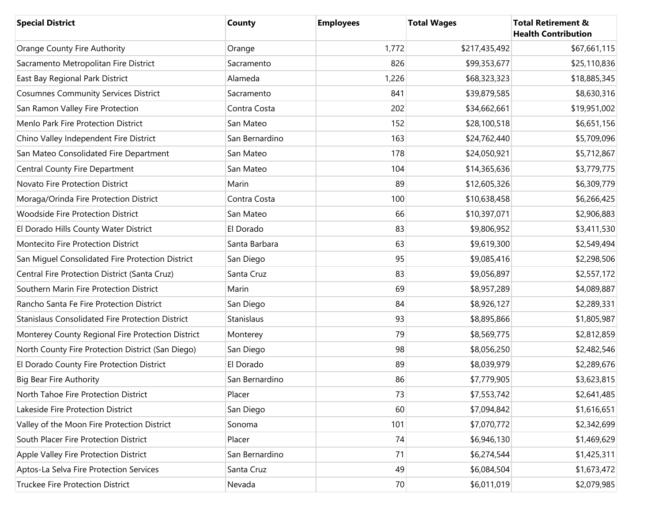| <b>Special District</b>                                 | County         | <b>Employees</b> | <b>Total Wages</b> | <b>Total Retirement &amp;</b><br><b>Health Contribution</b> |
|---------------------------------------------------------|----------------|------------------|--------------------|-------------------------------------------------------------|
| Orange County Fire Authority                            | Orange         | 1,772            | \$217,435,492      | \$67,661,115                                                |
| Sacramento Metropolitan Fire District                   | Sacramento     | 826              | \$99,353,677       | \$25,110,836                                                |
| East Bay Regional Park District                         | Alameda        | 1,226            | \$68,323,323       | \$18,885,345                                                |
| <b>Cosumnes Community Services District</b>             | Sacramento     | 841              | \$39,879,585       | \$8,630,316                                                 |
| San Ramon Valley Fire Protection                        | Contra Costa   | 202              | \$34,662,661       | \$19,951,002                                                |
| Menlo Park Fire Protection District                     | San Mateo      | 152              | \$28,100,518       | \$6,651,156                                                 |
| Chino Valley Independent Fire District                  | San Bernardino | 163              | \$24,762,440       | \$5,709,096                                                 |
| San Mateo Consolidated Fire Department                  | San Mateo      | 178              | \$24,050,921       | \$5,712,867                                                 |
| Central County Fire Department                          | San Mateo      | 104              | \$14,365,636       | \$3,779,775                                                 |
| Novato Fire Protection District                         | Marin          | 89               | \$12,605,326       | \$6,309,779                                                 |
| Moraga/Orinda Fire Protection District                  | Contra Costa   | 100              | \$10,638,458       | \$6,266,425                                                 |
| <b>Woodside Fire Protection District</b>                | San Mateo      | 66               | \$10,397,071       | \$2,906,883                                                 |
| El Dorado Hills County Water District                   | El Dorado      | 83               | \$9,806,952        | \$3,411,530                                                 |
| Montecito Fire Protection District                      | Santa Barbara  | 63               | \$9,619,300        | \$2,549,494                                                 |
| San Miguel Consolidated Fire Protection District        | San Diego      | 95               | \$9,085,416        | \$2,298,506                                                 |
| Central Fire Protection District (Santa Cruz)           | Santa Cruz     | 83               | \$9,056,897        | \$2,557,172                                                 |
| Southern Marin Fire Protection District                 | Marin          | 69               | \$8,957,289        | \$4,089,887                                                 |
| Rancho Santa Fe Fire Protection District                | San Diego      | 84               | \$8,926,127        | \$2,289,331                                                 |
| <b>Stanislaus Consolidated Fire Protection District</b> | Stanislaus     | 93               | \$8,895,866        | \$1,805,987                                                 |
| Monterey County Regional Fire Protection District       | Monterey       | 79               | \$8,569,775        | \$2,812,859                                                 |
| North County Fire Protection District (San Diego)       | San Diego      | 98               | \$8,056,250        | \$2,482,546                                                 |
| El Dorado County Fire Protection District               | El Dorado      | 89               | \$8,039,979        | \$2,289,676                                                 |
| <b>Big Bear Fire Authority</b>                          | San Bernardino | 86               | \$7,779,905        | \$3,623,815                                                 |
| North Tahoe Fire Protection District                    | Placer         | 73               | \$7,553,742        | \$2,641,485                                                 |
| Lakeside Fire Protection District                       | San Diego      | 60               | \$7,094,842        | \$1,616,651                                                 |
| Valley of the Moon Fire Protection District             | Sonoma         | 101              | \$7,070,772        | \$2,342,699                                                 |
| South Placer Fire Protection District                   | Placer         | 74               | \$6,946,130        | \$1,469,629                                                 |
| Apple Valley Fire Protection District                   | San Bernardino | 71               | \$6,274,544        | \$1,425,311                                                 |
| Aptos-La Selva Fire Protection Services                 | Santa Cruz     | 49               | \$6,084,504        | \$1,673,472                                                 |
| <b>Truckee Fire Protection District</b>                 | Nevada         | 70               | \$6,011,019        | \$2,079,985                                                 |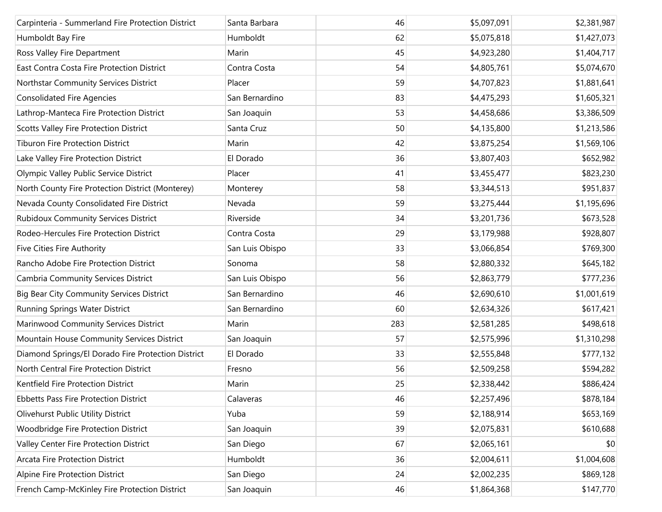| Carpinteria - Summerland Fire Protection District  | Santa Barbara   | 46  | \$5,097,091 | \$2,381,987 |
|----------------------------------------------------|-----------------|-----|-------------|-------------|
| Humboldt Bay Fire                                  | Humboldt        | 62  | \$5,075,818 | \$1,427,073 |
| Ross Valley Fire Department                        | Marin           | 45  | \$4,923,280 | \$1,404,717 |
| East Contra Costa Fire Protection District         | Contra Costa    | 54  | \$4,805,761 | \$5,074,670 |
| Northstar Community Services District              | Placer          | 59  | \$4,707,823 | \$1,881,641 |
| <b>Consolidated Fire Agencies</b>                  | San Bernardino  | 83  | \$4,475,293 | \$1,605,321 |
| Lathrop-Manteca Fire Protection District           | San Joaquin     | 53  | \$4,458,686 | \$3,386,509 |
| <b>Scotts Valley Fire Protection District</b>      | Santa Cruz      | 50  | \$4,135,800 | \$1,213,586 |
| <b>Tiburon Fire Protection District</b>            | Marin           | 42  | \$3,875,254 | \$1,569,106 |
| Lake Valley Fire Protection District               | El Dorado       | 36  | \$3,807,403 | \$652,982   |
| Olympic Valley Public Service District             | Placer          | 41  | \$3,455,477 | \$823,230   |
| North County Fire Protection District (Monterey)   | Monterey        | 58  | \$3,344,513 | \$951,837   |
| Nevada County Consolidated Fire District           | Nevada          | 59  | \$3,275,444 | \$1,195,696 |
| <b>Rubidoux Community Services District</b>        | Riverside       | 34  | \$3,201,736 | \$673,528   |
| Rodeo-Hercules Fire Protection District            | Contra Costa    | 29  | \$3,179,988 | \$928,807   |
| Five Cities Fire Authority                         | San Luis Obispo | 33  | \$3,066,854 | \$769,300   |
| Rancho Adobe Fire Protection District              | Sonoma          | 58  | \$2,880,332 | \$645,182   |
| <b>Cambria Community Services District</b>         | San Luis Obispo | 56  | \$2,863,779 | \$777,236   |
| <b>Big Bear City Community Services District</b>   | San Bernardino  | 46  | \$2,690,610 | \$1,001,619 |
| Running Springs Water District                     | San Bernardino  | 60  | \$2,634,326 | \$617,421   |
| Marinwood Community Services District              | Marin           | 283 | \$2,581,285 | \$498,618   |
| Mountain House Community Services District         | San Joaquin     | 57  | \$2,575,996 | \$1,310,298 |
| Diamond Springs/El Dorado Fire Protection District | El Dorado       | 33  | \$2,555,848 | \$777,132   |
| North Central Fire Protection District             | Fresno          | 56  | \$2,509,258 | \$594,282   |
| Kentfield Fire Protection District                 | Marin           | 25  | \$2,338,442 | \$886,424   |
| <b>Ebbetts Pass Fire Protection District</b>       | Calaveras       | 46  | \$2,257,496 | \$878,184   |
| Olivehurst Public Utility District                 | Yuba            | 59  | \$2,188,914 | \$653,169   |
| Woodbridge Fire Protection District                | San Joaquin     | 39  | \$2,075,831 | \$610,688   |
| Valley Center Fire Protection District             | San Diego       | 67  | \$2,065,161 | \$0         |
| Arcata Fire Protection District                    | Humboldt        | 36  | \$2,004,611 | \$1,004,608 |
| Alpine Fire Protection District                    | San Diego       | 24  | \$2,002,235 | \$869,128   |
| French Camp-McKinley Fire Protection District      | San Joaquin     | 46  | \$1,864,368 | \$147,770   |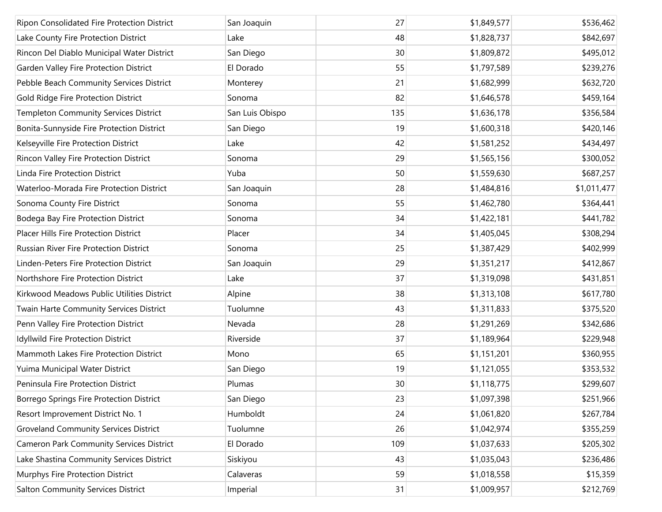| Ripon Consolidated Fire Protection District     | San Joaquin     | 27  | \$1,849,577 | \$536,462   |
|-------------------------------------------------|-----------------|-----|-------------|-------------|
| Lake County Fire Protection District            | Lake            | 48  | \$1,828,737 | \$842,697   |
| Rincon Del Diablo Municipal Water District      | San Diego       | 30  | \$1,809,872 | \$495,012   |
| Garden Valley Fire Protection District          | El Dorado       | 55  | \$1,797,589 | \$239,276   |
| Pebble Beach Community Services District        | Monterey        | 21  | \$1,682,999 | \$632,720   |
| Gold Ridge Fire Protection District             | Sonoma          | 82  | \$1,646,578 | \$459,164   |
| <b>Templeton Community Services District</b>    | San Luis Obispo | 135 | \$1,636,178 | \$356,584   |
| Bonita-Sunnyside Fire Protection District       | San Diego       | 19  | \$1,600,318 | \$420,146   |
| Kelseyville Fire Protection District            | Lake            | 42  | \$1,581,252 | \$434,497   |
| Rincon Valley Fire Protection District          | Sonoma          | 29  | \$1,565,156 | \$300,052   |
| Linda Fire Protection District                  | Yuba            | 50  | \$1,559,630 | \$687,257   |
| Waterloo-Morada Fire Protection District        | San Joaquin     | 28  | \$1,484,816 | \$1,011,477 |
| Sonoma County Fire District                     | Sonoma          | 55  | \$1,462,780 | \$364,441   |
| Bodega Bay Fire Protection District             | Sonoma          | 34  | \$1,422,181 | \$441,782   |
| <b>Placer Hills Fire Protection District</b>    | Placer          | 34  | \$1,405,045 | \$308,294   |
| Russian River Fire Protection District          | Sonoma          | 25  | \$1,387,429 | \$402,999   |
| Linden-Peters Fire Protection District          | San Joaquin     | 29  | \$1,351,217 | \$412,867   |
| Northshore Fire Protection District             | Lake            | 37  | \$1,319,098 | \$431,851   |
| Kirkwood Meadows Public Utilities District      | Alpine          | 38  | \$1,313,108 | \$617,780   |
| Twain Harte Community Services District         | Tuolumne        | 43  | \$1,311,833 | \$375,520   |
| Penn Valley Fire Protection District            | Nevada          | 28  | \$1,291,269 | \$342,686   |
| Idyllwild Fire Protection District              | Riverside       | 37  | \$1,189,964 | \$229,948   |
| Mammoth Lakes Fire Protection District          | Mono            | 65  | \$1,151,201 | \$360,955   |
| Yuima Municipal Water District                  | San Diego       | 19  | \$1,121,055 | \$353,532   |
| Peninsula Fire Protection District              | Plumas          | 30  | \$1,118,775 | \$299,607   |
| Borrego Springs Fire Protection District        | San Diego       | 23  | \$1,097,398 | \$251,966   |
| Resort Improvement District No. 1               | Humboldt        | 24  | \$1,061,820 | \$267,784   |
| <b>Groveland Community Services District</b>    | Tuolumne        | 26  | \$1,042,974 | \$355,259   |
| <b>Cameron Park Community Services District</b> | El Dorado       | 109 | \$1,037,633 | \$205,302   |
| Lake Shastina Community Services District       | Siskiyou        | 43  | \$1,035,043 | \$236,486   |
| Murphys Fire Protection District                | Calaveras       | 59  | \$1,018,558 | \$15,359    |
| <b>Salton Community Services District</b>       | Imperial        | 31  | \$1,009,957 | \$212,769   |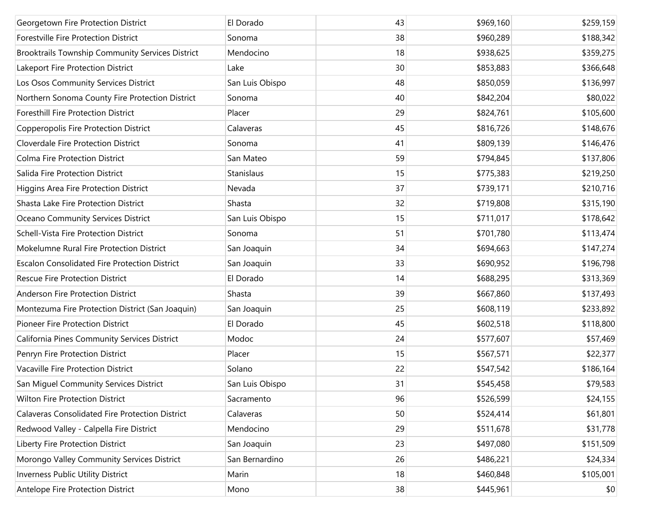| Georgetown Fire Protection District                  | El Dorado       | 43 | \$969,160 | \$259,159 |
|------------------------------------------------------|-----------------|----|-----------|-----------|
| Forestville Fire Protection District                 | Sonoma          | 38 | \$960,289 | \$188,342 |
| Brooktrails Township Community Services District     | Mendocino       | 18 | \$938,625 | \$359,275 |
| Lakeport Fire Protection District                    | Lake            | 30 | \$853,883 | \$366,648 |
| Los Osos Community Services District                 | San Luis Obispo | 48 | \$850,059 | \$136,997 |
| Northern Sonoma County Fire Protection District      | Sonoma          | 40 | \$842,204 | \$80,022  |
| Foresthill Fire Protection District                  | Placer          | 29 | \$824,761 | \$105,600 |
| Copperopolis Fire Protection District                | Calaveras       | 45 | \$816,726 | \$148,676 |
| Cloverdale Fire Protection District                  | Sonoma          | 41 | \$809,139 | \$146,476 |
| Colma Fire Protection District                       | San Mateo       | 59 | \$794,845 | \$137,806 |
| Salida Fire Protection District                      | Stanislaus      | 15 | \$775,383 | \$219,250 |
| Higgins Area Fire Protection District                | Nevada          | 37 | \$739,171 | \$210,716 |
| Shasta Lake Fire Protection District                 | Shasta          | 32 | \$719,808 | \$315,190 |
| Oceano Community Services District                   | San Luis Obispo | 15 | \$711,017 | \$178,642 |
| Schell-Vista Fire Protection District                | Sonoma          | 51 | \$701,780 | \$113,474 |
| Mokelumne Rural Fire Protection District             | San Joaquin     | 34 | \$694,663 | \$147,274 |
| <b>Escalon Consolidated Fire Protection District</b> | San Joaquin     | 33 | \$690,952 | \$196,798 |
| <b>Rescue Fire Protection District</b>               | El Dorado       | 14 | \$688,295 | \$313,369 |
| Anderson Fire Protection District                    | Shasta          | 39 | \$667,860 | \$137,493 |
| Montezuma Fire Protection District (San Joaquin)     | San Joaquin     | 25 | \$608,119 | \$233,892 |
| Pioneer Fire Protection District                     | El Dorado       | 45 | \$602,518 | \$118,800 |
| California Pines Community Services District         | Modoc           | 24 | \$577,607 | \$57,469  |
| Penryn Fire Protection District                      | Placer          | 15 | \$567,571 | \$22,377  |
| Vacaville Fire Protection District                   | Solano          | 22 | \$547,542 | \$186,164 |
| San Miguel Community Services District               | San Luis Obispo | 31 | \$545,458 | \$79,583  |
| Wilton Fire Protection District                      | Sacramento      | 96 | \$526,599 | \$24,155  |
| Calaveras Consolidated Fire Protection District      | Calaveras       | 50 | \$524,414 | \$61,801  |
| Redwood Valley - Calpella Fire District              | Mendocino       | 29 | \$511,678 | \$31,778  |
| Liberty Fire Protection District                     | San Joaquin     | 23 | \$497,080 | \$151,509 |
| Morongo Valley Community Services District           | San Bernardino  | 26 | \$486,221 | \$24,334  |
| Inverness Public Utility District                    | Marin           | 18 | \$460,848 | \$105,001 |
| Antelope Fire Protection District                    | Mono            | 38 | \$445,961 | \$0       |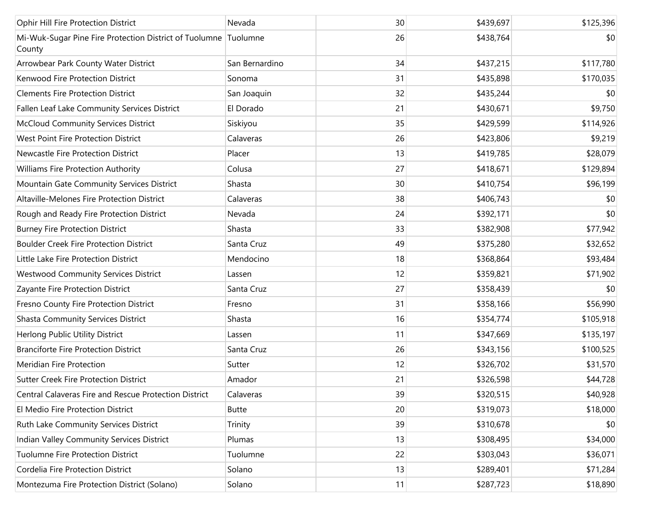| Ophir Hill Fire Protection District                                       | Nevada         | 30 | \$439,697 | \$125,396 |
|---------------------------------------------------------------------------|----------------|----|-----------|-----------|
| Mi-Wuk-Sugar Pine Fire Protection District of Tuolumne Tuolumne<br>County |                | 26 | \$438,764 | \$0       |
| Arrowbear Park County Water District                                      | San Bernardino | 34 | \$437,215 | \$117,780 |
| Kenwood Fire Protection District                                          | Sonoma         | 31 | \$435,898 | \$170,035 |
| <b>Clements Fire Protection District</b>                                  | San Joaquin    | 32 | \$435,244 | \$0       |
| Fallen Leaf Lake Community Services District                              | El Dorado      | 21 | \$430,671 | \$9,750   |
| McCloud Community Services District                                       | Siskiyou       | 35 | \$429,599 | \$114,926 |
| West Point Fire Protection District                                       | Calaveras      | 26 | \$423,806 | \$9,219   |
| Newcastle Fire Protection District                                        | Placer         | 13 | \$419,785 | \$28,079  |
| Williams Fire Protection Authority                                        | Colusa         | 27 | \$418,671 | \$129,894 |
| Mountain Gate Community Services District                                 | Shasta         | 30 | \$410,754 | \$96,199  |
| Altaville-Melones Fire Protection District                                | Calaveras      | 38 | \$406,743 | \$0       |
| Rough and Ready Fire Protection District                                  | Nevada         | 24 | \$392,171 | \$0       |
| <b>Burney Fire Protection District</b>                                    | Shasta         | 33 | \$382,908 | \$77,942  |
| <b>Boulder Creek Fire Protection District</b>                             | Santa Cruz     | 49 | \$375,280 | \$32,652  |
| Little Lake Fire Protection District                                      | Mendocino      | 18 | \$368,864 | \$93,484  |
| <b>Westwood Community Services District</b>                               | Lassen         | 12 | \$359,821 | \$71,902  |
| Zayante Fire Protection District                                          | Santa Cruz     | 27 | \$358,439 | \$0       |
| Fresno County Fire Protection District                                    | Fresno         | 31 | \$358,166 | \$56,990  |
| <b>Shasta Community Services District</b>                                 | Shasta         | 16 | \$354,774 | \$105,918 |
| Herlong Public Utility District                                           | Lassen         | 11 | \$347,669 | \$135,197 |
| <b>Branciforte Fire Protection District</b>                               | Santa Cruz     | 26 | \$343,156 | \$100,525 |
| Meridian Fire Protection                                                  | Sutter         | 12 | \$326,702 | \$31,570  |
| <b>Sutter Creek Fire Protection District</b>                              | Amador         | 21 | \$326,598 | \$44,728  |
| Central Calaveras Fire and Rescue Protection District                     | Calaveras      | 39 | \$320,515 | \$40,928  |
| El Medio Fire Protection District                                         | <b>Butte</b>   | 20 | \$319,073 | \$18,000  |
| Ruth Lake Community Services District                                     | Trinity        | 39 | \$310,678 | \$0       |
| Indian Valley Community Services District                                 | Plumas         | 13 | \$308,495 | \$34,000  |
| Tuolumne Fire Protection District                                         | Tuolumne       | 22 | \$303,043 | \$36,071  |
| Cordelia Fire Protection District                                         | Solano         | 13 | \$289,401 | \$71,284  |
| Montezuma Fire Protection District (Solano)                               | Solano         | 11 | \$287,723 | \$18,890  |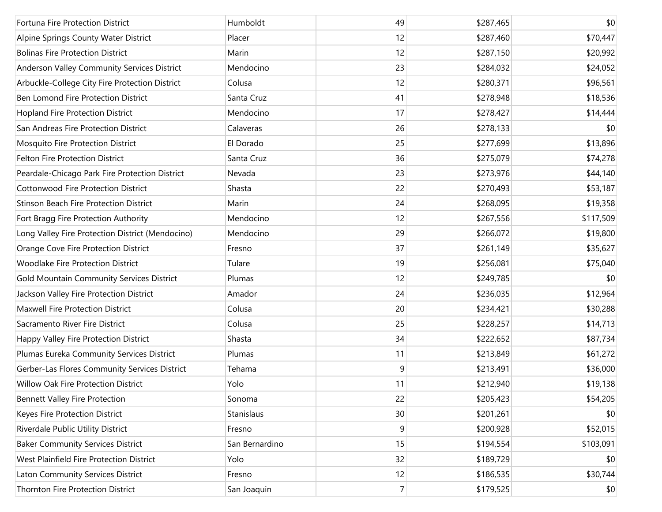| Fortuna Fire Protection District                 | Humboldt       | 49             | \$287,465 | \$0       |
|--------------------------------------------------|----------------|----------------|-----------|-----------|
| Alpine Springs County Water District             | Placer         | 12             | \$287,460 | \$70,447  |
| <b>Bolinas Fire Protection District</b>          | Marin          | 12             | \$287,150 | \$20,992  |
| Anderson Valley Community Services District      | Mendocino      | 23             | \$284,032 | \$24,052  |
| Arbuckle-College City Fire Protection District   | Colusa         | 12             | \$280,371 | \$96,561  |
| Ben Lomond Fire Protection District              | Santa Cruz     | 41             | \$278,948 | \$18,536  |
| Hopland Fire Protection District                 | Mendocino      | 17             | \$278,427 | \$14,444  |
| San Andreas Fire Protection District             | Calaveras      | 26             | \$278,133 | \$0       |
| Mosquito Fire Protection District                | El Dorado      | 25             | \$277,699 | \$13,896  |
| Felton Fire Protection District                  | Santa Cruz     | 36             | \$275,079 | \$74,278  |
| Peardale-Chicago Park Fire Protection District   | Nevada         | 23             | \$273,976 | \$44,140  |
| <b>Cottonwood Fire Protection District</b>       | Shasta         | 22             | \$270,493 | \$53,187  |
| <b>Stinson Beach Fire Protection District</b>    | Marin          | 24             | \$268,095 | \$19,358  |
| Fort Bragg Fire Protection Authority             | Mendocino      | 12             | \$267,556 | \$117,509 |
| Long Valley Fire Protection District (Mendocino) | Mendocino      | 29             | \$266,072 | \$19,800  |
| Orange Cove Fire Protection District             | Fresno         | 37             | \$261,149 | \$35,627  |
| <b>Woodlake Fire Protection District</b>         | Tulare         | 19             | \$256,081 | \$75,040  |
| Gold Mountain Community Services District        | Plumas         | 12             | \$249,785 | \$0       |
| Jackson Valley Fire Protection District          | Amador         | 24             | \$236,035 | \$12,964  |
| Maxwell Fire Protection District                 | Colusa         | 20             | \$234,421 | \$30,288  |
| Sacramento River Fire District                   | Colusa         | 25             | \$228,257 | \$14,713  |
| Happy Valley Fire Protection District            | Shasta         | 34             | \$222,652 | \$87,734  |
| Plumas Eureka Community Services District        | Plumas         | 11             | \$213,849 | \$61,272  |
| Gerber-Las Flores Community Services District    | Tehama         | 9              | \$213,491 | \$36,000  |
| Willow Oak Fire Protection District              | Yolo           | 11             | \$212,940 | \$19,138  |
| <b>Bennett Valley Fire Protection</b>            | Sonoma         | 22             | \$205,423 | \$54,205  |
| Keyes Fire Protection District                   | Stanislaus     | 30             | \$201,261 | \$0       |
| Riverdale Public Utility District                | Fresno         | 9              | \$200,928 | \$52,015  |
| <b>Baker Community Services District</b>         | San Bernardino | 15             | \$194,554 | \$103,091 |
| West Plainfield Fire Protection District         | Yolo           | 32             | \$189,729 | \$0       |
| Laton Community Services District                | Fresno         | 12             | \$186,535 | \$30,744  |
| Thornton Fire Protection District                | San Joaquin    | $\overline{7}$ | \$179,525 | \$0       |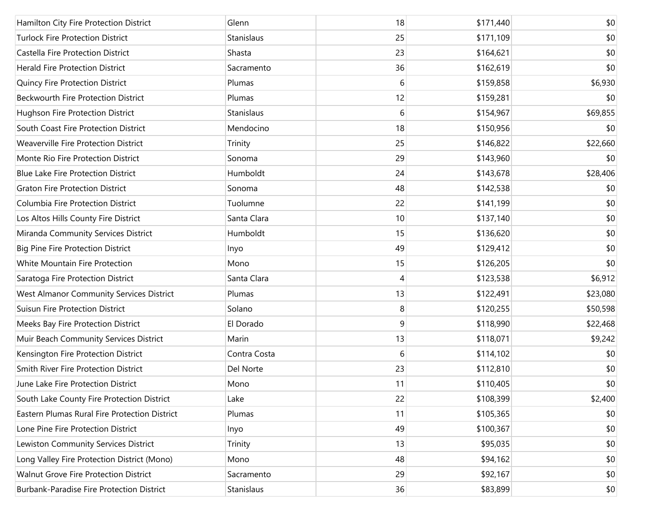| Hamilton City Fire Protection District        | Glenn        | 18 | \$171,440 | \$0      |
|-----------------------------------------------|--------------|----|-----------|----------|
| <b>Turlock Fire Protection District</b>       | Stanislaus   | 25 | \$171,109 | \$0      |
| Castella Fire Protection District             | Shasta       | 23 | \$164,621 | \$0      |
| <b>Herald Fire Protection District</b>        | Sacramento   | 36 | \$162,619 | \$0      |
| Quincy Fire Protection District               | Plumas       | 6  | \$159,858 | \$6,930  |
| <b>Beckwourth Fire Protection District</b>    | Plumas       | 12 | \$159,281 | \$0      |
| Hughson Fire Protection District              | Stanislaus   | 6  | \$154,967 | \$69,855 |
| South Coast Fire Protection District          | Mendocino    | 18 | \$150,956 | \$0      |
| Weaverville Fire Protection District          | Trinity      | 25 | \$146,822 | \$22,660 |
| Monte Rio Fire Protection District            | Sonoma       | 29 | \$143,960 | \$0      |
| <b>Blue Lake Fire Protection District</b>     | Humboldt     | 24 | \$143,678 | \$28,406 |
| <b>Graton Fire Protection District</b>        | Sonoma       | 48 | \$142,538 | \$0      |
| Columbia Fire Protection District             | Tuolumne     | 22 | \$141,199 | \$0      |
| Los Altos Hills County Fire District          | Santa Clara  | 10 | \$137,140 | \$0      |
| Miranda Community Services District           | Humboldt     | 15 | \$136,620 | \$0      |
| <b>Big Pine Fire Protection District</b>      | Inyo         | 49 | \$129,412 | \$0      |
| White Mountain Fire Protection                | Mono         | 15 | \$126,205 | \$0      |
| Saratoga Fire Protection District             | Santa Clara  | 4  | \$123,538 | \$6,912  |
| West Almanor Community Services District      | Plumas       | 13 | \$122,491 | \$23,080 |
| <b>Suisun Fire Protection District</b>        | Solano       | 8  | \$120,255 | \$50,598 |
| Meeks Bay Fire Protection District            | El Dorado    | 9  | \$118,990 | \$22,468 |
| Muir Beach Community Services District        | Marin        | 13 | \$118,071 | \$9,242  |
| Kensington Fire Protection District           | Contra Costa | 6  | \$114,102 | \$0      |
| Smith River Fire Protection District          | Del Norte    | 23 | \$112,810 | \$0      |
| June Lake Fire Protection District            | Mono         | 11 | \$110,405 | \$0      |
| South Lake County Fire Protection District    | Lake         | 22 | \$108,399 | \$2,400  |
| Eastern Plumas Rural Fire Protection District | Plumas       | 11 | \$105,365 | \$0      |
| Lone Pine Fire Protection District            | Inyo         | 49 | \$100,367 | \$0      |
| Lewiston Community Services District          | Trinity      | 13 | \$95,035  | \$0      |
| Long Valley Fire Protection District (Mono)   | Mono         | 48 | \$94,162  | \$0      |
| Walnut Grove Fire Protection District         | Sacramento   | 29 | \$92,167  | \$0      |
| Burbank-Paradise Fire Protection District     | Stanislaus   | 36 | \$83,899  | \$0      |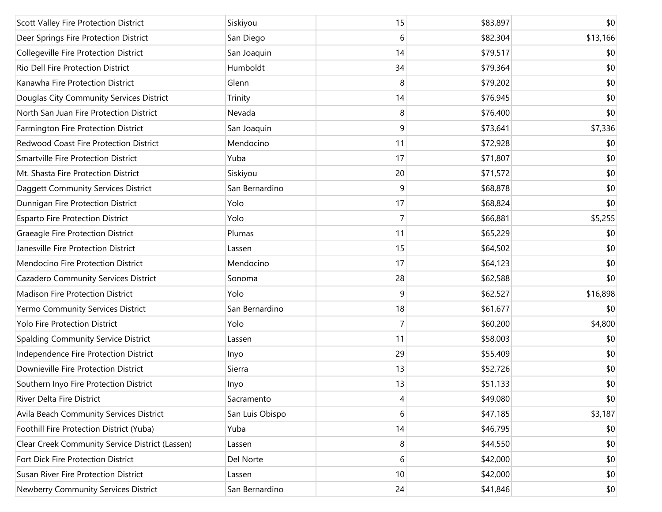| Scott Valley Fire Protection District           | Siskiyou        | 15             | \$83,897 | \$0      |
|-------------------------------------------------|-----------------|----------------|----------|----------|
| Deer Springs Fire Protection District           | San Diego       | 6              | \$82,304 | \$13,166 |
| Collegeville Fire Protection District           | San Joaquin     | 14             | \$79,517 | \$0      |
| Rio Dell Fire Protection District               | Humboldt        | 34             | \$79,364 | \$0      |
| Kanawha Fire Protection District                | Glenn           | 8              | \$79,202 | \$0      |
| Douglas City Community Services District        | Trinity         | 14             | \$76,945 | \$0      |
| North San Juan Fire Protection District         | Nevada          | 8              | \$76,400 | \$0      |
| Farmington Fire Protection District             | San Joaquin     | 9              | \$73,641 | \$7,336  |
| Redwood Coast Fire Protection District          | Mendocino       | 11             | \$72,928 | \$0      |
| <b>Smartville Fire Protection District</b>      | Yuba            | 17             | \$71,807 | \$0      |
| Mt. Shasta Fire Protection District             | Siskiyou        | 20             | \$71,572 | \$0      |
| Daggett Community Services District             | San Bernardino  | 9              | \$68,878 | \$0      |
| Dunnigan Fire Protection District               | Yolo            | 17             | \$68,824 | \$0      |
| <b>Esparto Fire Protection District</b>         | Yolo            | $\overline{7}$ | \$66,881 | \$5,255  |
| Graeagle Fire Protection District               | Plumas          | 11             | \$65,229 | \$0      |
| Janesville Fire Protection District             | Lassen          | 15             | \$64,502 | \$0      |
| Mendocino Fire Protection District              | Mendocino       | 17             | \$64,123 | \$0      |
| Cazadero Community Services District            | Sonoma          | 28             | \$62,588 | \$0      |
| <b>Madison Fire Protection District</b>         | Yolo            | 9              | \$62,527 | \$16,898 |
| Yermo Community Services District               | San Bernardino  | 18             | \$61,677 | \$0      |
| Yolo Fire Protection District                   | Yolo            | $\overline{7}$ | \$60,200 | \$4,800  |
| Spalding Community Service District             | Lassen          | 11             | \$58,003 | \$0      |
| Independence Fire Protection District           | Inyo            | 29             | \$55,409 | \$0      |
| Downieville Fire Protection District            | Sierra          | 13             | \$52,726 | \$0      |
| Southern Inyo Fire Protection District          | Inyo            | 13             | \$51,133 | \$0      |
| River Delta Fire District                       | Sacramento      | 4              | \$49,080 | \$0      |
| Avila Beach Community Services District         | San Luis Obispo | 6              | \$47,185 | \$3,187  |
| Foothill Fire Protection District (Yuba)        | Yuba            | 14             | \$46,795 | \$0      |
| Clear Creek Community Service District (Lassen) | Lassen          | 8              | \$44,550 | \$0      |
| Fort Dick Fire Protection District              | Del Norte       | 6              | \$42,000 | \$0      |
| Susan River Fire Protection District            | Lassen          | 10             | \$42,000 | \$0      |
| Newberry Community Services District            | San Bernardino  | 24             | \$41,846 | \$0      |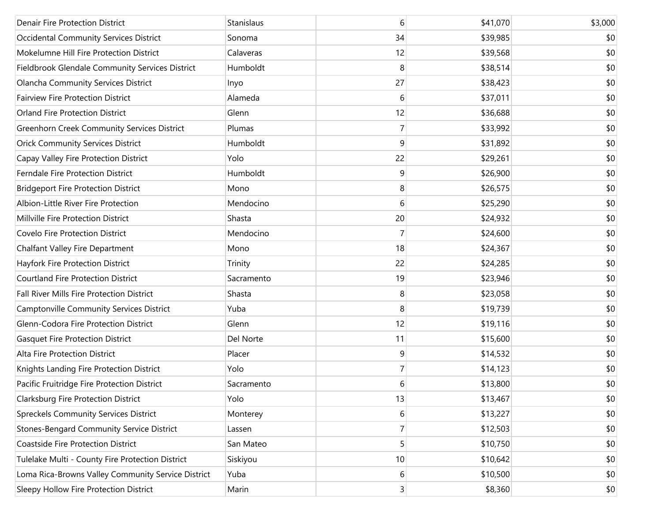| <b>Denair Fire Protection District</b>             | Stanislaus | 6              | \$41,070 | \$3,000 |
|----------------------------------------------------|------------|----------------|----------|---------|
| Occidental Community Services District             | Sonoma     | 34             | \$39,985 | \$0     |
| Mokelumne Hill Fire Protection District            | Calaveras  | 12             | \$39,568 | \$0     |
| Fieldbrook Glendale Community Services District    | Humboldt   | 8              | \$38,514 | \$0     |
| Olancha Community Services District                | Inyo       | 27             | \$38,423 | \$0     |
| <b>Fairview Fire Protection District</b>           | Alameda    | 6              | \$37,011 | \$0     |
| Orland Fire Protection District                    | Glenn      | 12             | \$36,688 | \$0     |
| <b>Greenhorn Creek Community Services District</b> | Plumas     | 7              | \$33,992 | \$0     |
| <b>Orick Community Services District</b>           | Humboldt   | 9              | \$31,892 | \$0     |
| Capay Valley Fire Protection District              | Yolo       | 22             | \$29,261 | \$0     |
| Ferndale Fire Protection District                  | Humboldt   | 9              | \$26,900 | \$0     |
| <b>Bridgeport Fire Protection District</b>         | Mono       | 8              | \$26,575 | \$0     |
| Albion-Little River Fire Protection                | Mendocino  | 6              | \$25,290 | \$0     |
| Millville Fire Protection District                 | Shasta     | 20             | \$24,932 | \$0     |
| Covelo Fire Protection District                    | Mendocino  | 7              | \$24,600 | \$0     |
| <b>Chalfant Valley Fire Department</b>             | Mono       | 18             | \$24,367 | \$0     |
| Hayfork Fire Protection District                   | Trinity    | 22             | \$24,285 | \$0     |
| <b>Courtland Fire Protection District</b>          | Sacramento | 19             | \$23,946 | \$0     |
| Fall River Mills Fire Protection District          | Shasta     | 8              | \$23,058 | \$0     |
| Camptonville Community Services District           | Yuba       | 8              | \$19,739 | \$0     |
| Glenn-Codora Fire Protection District              | Glenn      | 12             | \$19,116 | \$0     |
| <b>Gasquet Fire Protection District</b>            | Del Norte  | 11             | \$15,600 | \$0     |
| Alta Fire Protection District                      | Placer     | 9              | \$14,532 | \$0     |
| Knights Landing Fire Protection District           | Yolo       | 7              | \$14,123 | \$0     |
| Pacific Fruitridge Fire Protection District        | Sacramento | 6              | \$13,800 | \$0     |
| Clarksburg Fire Protection District                | Yolo       | 13             | \$13,467 | \$0     |
| <b>Spreckels Community Services District</b>       | Monterey   | 6              | \$13,227 | \$0     |
| <b>Stones-Bengard Community Service District</b>   | Lassen     | 7              | \$12,503 | \$0     |
| Coastside Fire Protection District                 | San Mateo  | 5              | \$10,750 | \$0     |
| Tulelake Multi - County Fire Protection District   | Siskiyou   | 10             | \$10,642 | \$0     |
| Loma Rica-Browns Valley Community Service District | Yuba       | 6              | \$10,500 | \$0     |
| Sleepy Hollow Fire Protection District             | Marin      | $\overline{3}$ | \$8,360  | \$0     |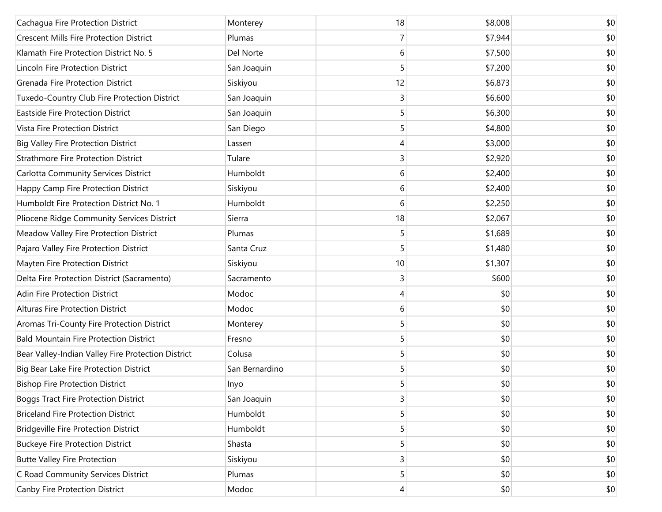| Cachagua Fire Protection District                  | Monterey       | 18             | \$8,008 | \$0 |
|----------------------------------------------------|----------------|----------------|---------|-----|
| <b>Crescent Mills Fire Protection District</b>     | Plumas         | 7              | \$7,944 | \$0 |
| Klamath Fire Protection District No. 5             | Del Norte      | 6              | \$7,500 | \$0 |
| Lincoln Fire Protection District                   | San Joaquin    | 5              | \$7,200 | \$0 |
| Grenada Fire Protection District                   | Siskiyou       | 12             | \$6,873 | \$0 |
| Tuxedo-Country Club Fire Protection District       | San Joaquin    | 3              | \$6,600 | \$0 |
| <b>Eastside Fire Protection District</b>           | San Joaquin    | 5              | \$6,300 | \$0 |
| Vista Fire Protection District                     | San Diego      | 5              | \$4,800 | \$0 |
| <b>Big Valley Fire Protection District</b>         | Lassen         | 4              | \$3,000 | \$0 |
| <b>Strathmore Fire Protection District</b>         | Tulare         | 3              | \$2,920 | \$0 |
| Carlotta Community Services District               | Humboldt       | 6              | \$2,400 | \$0 |
| Happy Camp Fire Protection District                | Siskiyou       | 6              | \$2,400 | \$0 |
| Humboldt Fire Protection District No. 1            | Humboldt       | 6              | \$2,250 | \$0 |
| Pliocene Ridge Community Services District         | Sierra         | 18             | \$2,067 | \$0 |
| Meadow Valley Fire Protection District             | Plumas         | 5              | \$1,689 | \$0 |
| Pajaro Valley Fire Protection District             | Santa Cruz     | 5              | \$1,480 | \$0 |
| Mayten Fire Protection District                    | Siskiyou       | 10             | \$1,307 | \$0 |
| Delta Fire Protection District (Sacramento)        | Sacramento     | 3              | \$600   | \$0 |
| Adin Fire Protection District                      | Modoc          | 4              | \$0     | \$0 |
| <b>Alturas Fire Protection District</b>            | Modoc          | 6              | \$0     | \$0 |
| Aromas Tri-County Fire Protection District         | Monterey       | 5              | \$0     | \$0 |
| <b>Bald Mountain Fire Protection District</b>      | Fresno         | 5              | \$0     | \$0 |
| Bear Valley-Indian Valley Fire Protection District | Colusa         | 5              | \$0     | \$0 |
| Big Bear Lake Fire Protection District             | San Bernardino | 5              | \$0     | \$0 |
| <b>Bishop Fire Protection District</b>             | Inyo           | 5              | \$0     | \$0 |
| <b>Boggs Tract Fire Protection District</b>        | San Joaquin    | 3              | \$0     | \$0 |
| <b>Briceland Fire Protection District</b>          | Humboldt       | 5              | \$0     | \$0 |
| <b>Bridgeville Fire Protection District</b>        | Humboldt       | 5              | \$0     | \$0 |
| <b>Buckeye Fire Protection District</b>            | Shasta         | 5              | \$0     | \$0 |
| <b>Butte Valley Fire Protection</b>                | Siskiyou       | 3              | \$0     | \$0 |
| C Road Community Services District                 | Plumas         | 5              | \$0     | \$0 |
| Canby Fire Protection District                     | Modoc          | $\overline{4}$ | \$0     | \$0 |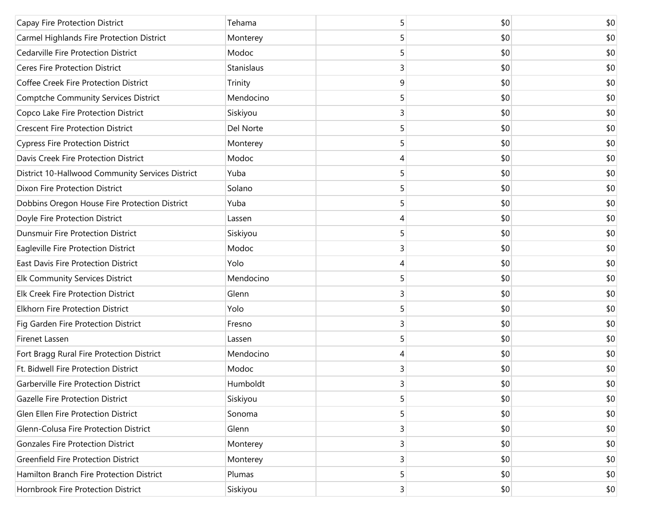| Capay Fire Protection District                   | Tehama     | 5              | \$0 | \$0 |
|--------------------------------------------------|------------|----------------|-----|-----|
| Carmel Highlands Fire Protection District        | Monterey   | 5              | \$0 | \$0 |
| <b>Cedarville Fire Protection District</b>       | Modoc      | 5              | \$0 | \$0 |
| Ceres Fire Protection District                   | Stanislaus | 3              | \$0 | \$0 |
| Coffee Creek Fire Protection District            | Trinity    | 9              | \$0 | \$0 |
| <b>Comptche Community Services District</b>      | Mendocino  | 5              | \$0 | \$0 |
| Copco Lake Fire Protection District              | Siskiyou   | 3              | \$0 | \$0 |
| <b>Crescent Fire Protection District</b>         | Del Norte  | 5              | \$0 | \$0 |
| <b>Cypress Fire Protection District</b>          | Monterey   | 5              | \$0 | \$0 |
| Davis Creek Fire Protection District             | Modoc      | 4              | \$0 | \$0 |
| District 10-Hallwood Community Services District | Yuba       | 5              | \$0 | \$0 |
| Dixon Fire Protection District                   | Solano     | 5              | \$0 | \$0 |
| Dobbins Oregon House Fire Protection District    | Yuba       | 5              | \$0 | \$0 |
| Doyle Fire Protection District                   | Lassen     | 4              | \$0 | \$0 |
| <b>Dunsmuir Fire Protection District</b>         | Siskiyou   | 5              | \$0 | \$0 |
| Eagleville Fire Protection District              | Modoc      | 3              | \$0 | \$0 |
| East Davis Fire Protection District              | Yolo       | 4              | \$0 | \$0 |
| Elk Community Services District                  | Mendocino  | 5              | \$0 | \$0 |
| <b>Elk Creek Fire Protection District</b>        | Glenn      | 3              | \$0 | \$0 |
| <b>Elkhorn Fire Protection District</b>          | Yolo       | 5              | \$0 | \$0 |
| Fig Garden Fire Protection District              | Fresno     | 3              | \$0 | \$0 |
| Firenet Lassen                                   | Lassen     | 5              | \$0 | \$0 |
| Fort Bragg Rural Fire Protection District        | Mendocino  | 4              | \$0 | \$0 |
| Ft. Bidwell Fire Protection District             | Modoc      | 3              | \$0 | \$0 |
| Garberville Fire Protection District             | Humboldt   | 3              | \$0 | \$0 |
| Gazelle Fire Protection District                 | Siskiyou   | 5              | \$0 | \$0 |
| Glen Ellen Fire Protection District              | Sonoma     | 5              | \$0 | \$0 |
| Glenn-Colusa Fire Protection District            | Glenn      | 3              | \$0 | \$0 |
| <b>Gonzales Fire Protection District</b>         | Monterey   | 3              | \$0 | \$0 |
| <b>Greenfield Fire Protection District</b>       | Monterey   | 3              | \$0 | \$0 |
| Hamilton Branch Fire Protection District         | Plumas     | 5              | \$0 | \$0 |
| Hornbrook Fire Protection District               | Siskiyou   | $\overline{3}$ | \$0 | \$0 |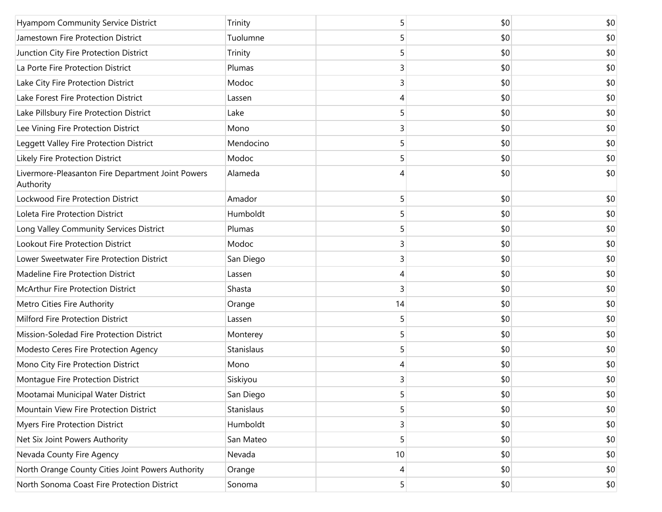| <b>Hyampom Community Service District</b>                      | Trinity    | 5  | \$0 | \$0 |
|----------------------------------------------------------------|------------|----|-----|-----|
| Jamestown Fire Protection District                             | Tuolumne   | 5  | \$0 | \$0 |
| Junction City Fire Protection District                         | Trinity    | 5  | \$0 | \$0 |
| La Porte Fire Protection District                              | Plumas     | 3  | \$0 | \$0 |
| Lake City Fire Protection District                             | Modoc      | 3  | \$0 | \$0 |
| Lake Forest Fire Protection District                           | Lassen     | 4  | \$0 | \$0 |
| Lake Pillsbury Fire Protection District                        | Lake       | 5  | \$0 | \$0 |
| Lee Vining Fire Protection District                            | Mono       | 3  | \$0 | \$0 |
| Leggett Valley Fire Protection District                        | Mendocino  | 5  | \$0 | \$0 |
| Likely Fire Protection District                                | Modoc      | 5  | \$0 | \$0 |
| Livermore-Pleasanton Fire Department Joint Powers<br>Authority | Alameda    | 4  | \$0 | \$0 |
| Lockwood Fire Protection District                              | Amador     | 5  | \$0 | \$0 |
| Loleta Fire Protection District                                | Humboldt   | 5  | \$0 | \$0 |
| Long Valley Community Services District                        | Plumas     | 5  | \$0 | \$0 |
| Lookout Fire Protection District                               | Modoc      | 3  | \$0 | \$0 |
| Lower Sweetwater Fire Protection District                      | San Diego  | 3  | \$0 | \$0 |
| Madeline Fire Protection District                              | Lassen     | 4  | \$0 | \$0 |
| McArthur Fire Protection District                              | Shasta     | 3  | \$0 | \$0 |
| Metro Cities Fire Authority                                    | Orange     | 14 | \$0 | \$0 |
| Milford Fire Protection District                               | Lassen     | 5  | \$0 | \$0 |
| Mission-Soledad Fire Protection District                       | Monterey   | 5  | \$0 | \$0 |
| Modesto Ceres Fire Protection Agency                           | Stanislaus | 5  | \$0 | \$0 |
| Mono City Fire Protection District                             | Mono       | 4  | \$0 | \$0 |
| Montague Fire Protection District                              | Siskiyou   | 3  | \$0 | \$0 |
| Mootamai Municipal Water District                              | San Diego  | 5  | \$0 | \$0 |
| Mountain View Fire Protection District                         | Stanislaus | 5  | \$0 | \$0 |
| <b>Myers Fire Protection District</b>                          | Humboldt   | 3  | \$0 | \$0 |
| Net Six Joint Powers Authority                                 | San Mateo  | 5  | \$0 | \$0 |
| Nevada County Fire Agency                                      | Nevada     | 10 | \$0 | \$0 |
| North Orange County Cities Joint Powers Authority              | Orange     | 4  | \$0 | \$0 |
| North Sonoma Coast Fire Protection District                    | Sonoma     | 5  | \$0 | \$0 |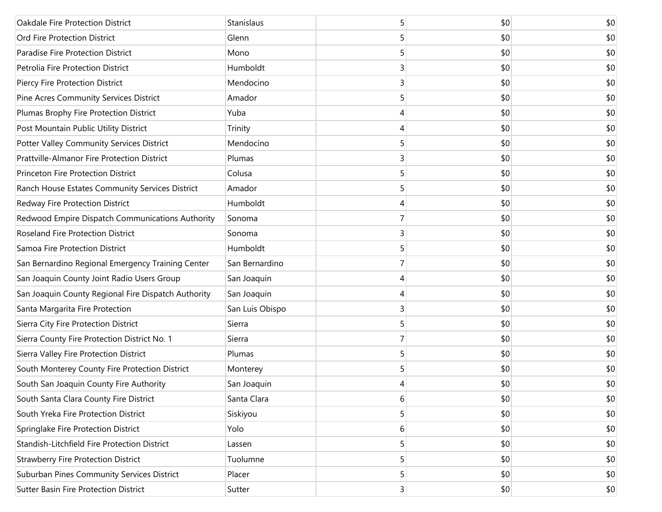| Oakdale Fire Protection District                    | Stanislaus      | 5 | \$0 | \$0 |
|-----------------------------------------------------|-----------------|---|-----|-----|
| Ord Fire Protection District                        | Glenn           | 5 | \$0 | \$0 |
| Paradise Fire Protection District                   | Mono            |   | \$0 | \$0 |
| Petrolia Fire Protection District                   | Humboldt        | 3 | \$0 | \$0 |
| Piercy Fire Protection District                     | Mendocino       | 3 | \$0 | \$0 |
| Pine Acres Community Services District              | Amador          | 5 | \$0 | \$0 |
| Plumas Brophy Fire Protection District              | Yuba            | 4 | \$0 | \$0 |
| Post Mountain Public Utility District               | Trinity         | 4 | \$0 | \$0 |
| Potter Valley Community Services District           | Mendocino       | 5 | \$0 | \$0 |
| Prattville-Almanor Fire Protection District         | Plumas          | 3 | \$0 | \$0 |
| Princeton Fire Protection District                  | Colusa          | 5 | \$0 | \$0 |
| Ranch House Estates Community Services District     | Amador          | 5 | \$0 | \$0 |
| Redway Fire Protection District                     | Humboldt        | 4 | \$0 | \$0 |
| Redwood Empire Dispatch Communications Authority    | Sonoma          | 7 | \$0 | \$0 |
| Roseland Fire Protection District                   | Sonoma          | 3 | \$0 | \$0 |
| Samoa Fire Protection District                      | Humboldt        | 5 | \$0 | \$0 |
| San Bernardino Regional Emergency Training Center   | San Bernardino  |   | \$0 | \$0 |
| San Joaquin County Joint Radio Users Group          | San Joaquin     | 4 | \$0 | \$0 |
| San Joaquin County Regional Fire Dispatch Authority | San Joaquin     | 4 | \$0 | \$0 |
| Santa Margarita Fire Protection                     | San Luis Obispo | 3 | \$0 | \$0 |
| Sierra City Fire Protection District                | Sierra          | 5 | \$0 | \$0 |
| Sierra County Fire Protection District No. 1        | Sierra          | 7 | \$0 | \$0 |
| Sierra Valley Fire Protection District              | Plumas          | 5 | \$0 | \$0 |
| South Monterey County Fire Protection District      | Monterey        | 5 | \$0 | \$0 |
| South San Joaquin County Fire Authority             | San Joaquin     | 4 | \$0 | \$0 |
| South Santa Clara County Fire District              | Santa Clara     | 6 | \$0 | \$0 |
| South Yreka Fire Protection District                | Siskiyou        | 5 | \$0 | \$0 |
| Springlake Fire Protection District                 | Yolo            | 6 | \$0 | \$0 |
| Standish-Litchfield Fire Protection District        | Lassen          | 5 | \$0 | \$0 |
| <b>Strawberry Fire Protection District</b>          | Tuolumne        | 5 | \$0 | \$0 |
| Suburban Pines Community Services District          | Placer          | 5 | \$0 | \$0 |
| Sutter Basin Fire Protection District               | Sutter          | 3 | \$0 | \$0 |